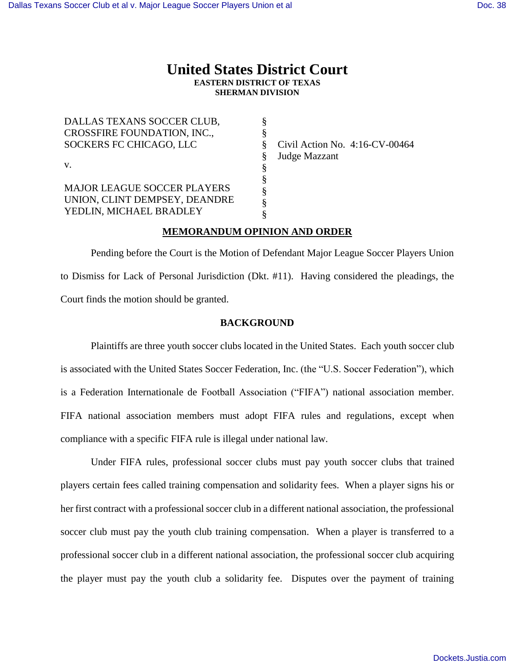# **United States District Court EASTERN DISTRICT OF TEXAS SHERMAN DIVISION**

| DALLAS TEXANS SOCCER CLUB,         |   |                                   |
|------------------------------------|---|-----------------------------------|
| CROSSFIRE FOUNDATION, INC.,        |   |                                   |
| SOCKERS FC CHICAGO, LLC            | ö | Civil Action No. $4:16$ -CV-00464 |
|                                    |   | Judge Mazzant                     |
| V.                                 |   |                                   |
|                                    | 8 |                                   |
| <b>MAJOR LEAGUE SOCCER PLAYERS</b> |   |                                   |
| UNION, CLINT DEMPSEY, DEANDRE      |   |                                   |
| YEDLIN, MICHAEL BRADLEY            |   |                                   |

# **MEMORANDUM OPINION AND ORDER**

 Pending before the Court is the Motion of Defendant Major League Soccer Players Union to Dismiss for Lack of Personal Jurisdiction (Dkt. #11). Having considered the pleadings, the Court finds the motion should be granted.

# **BACKGROUND**

Plaintiffs are three youth soccer clubs located in the United States. Each youth soccer club is associated with the United States Soccer Federation, Inc. (the "U.S. Soccer Federation"), which is a Federation Internationale de Football Association ("FIFA") national association member. FIFA national association members must adopt FIFA rules and regulations, except when compliance with a specific FIFA rule is illegal under national law.

Under FIFA rules, professional soccer clubs must pay youth soccer clubs that trained players certain fees called training compensation and solidarity fees. When a player signs his or her first contract with a professional soccer club in a different national association, the professional soccer club must pay the youth club training compensation. When a player is transferred to a professional soccer club in a different national association, the professional soccer club acquiring the player must pay the youth club a solidarity fee. Disputes over the payment of training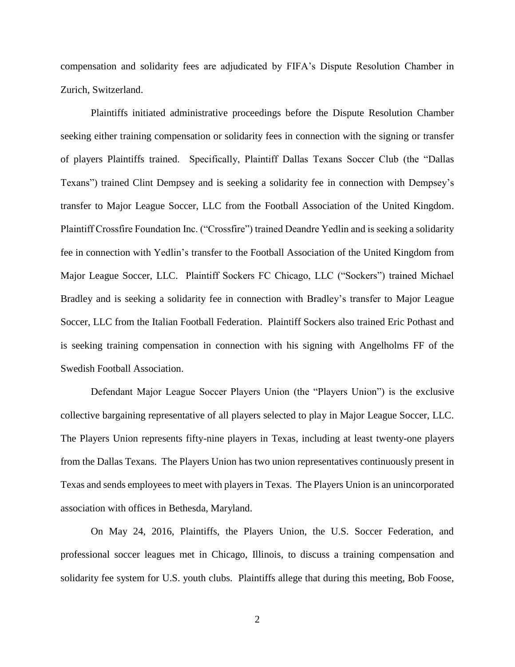compensation and solidarity fees are adjudicated by FIFA's Dispute Resolution Chamber in Zurich, Switzerland.

Plaintiffs initiated administrative proceedings before the Dispute Resolution Chamber seeking either training compensation or solidarity fees in connection with the signing or transfer of players Plaintiffs trained. Specifically, Plaintiff Dallas Texans Soccer Club (the "Dallas Texans") trained Clint Dempsey and is seeking a solidarity fee in connection with Dempsey's transfer to Major League Soccer, LLC from the Football Association of the United Kingdom. Plaintiff Crossfire Foundation Inc. ("Crossfire") trained Deandre Yedlin and is seeking a solidarity fee in connection with Yedlin's transfer to the Football Association of the United Kingdom from Major League Soccer, LLC. Plaintiff Sockers FC Chicago, LLC ("Sockers") trained Michael Bradley and is seeking a solidarity fee in connection with Bradley's transfer to Major League Soccer, LLC from the Italian Football Federation. Plaintiff Sockers also trained Eric Pothast and is seeking training compensation in connection with his signing with Angelholms FF of the Swedish Football Association.

Defendant Major League Soccer Players Union (the "Players Union") is the exclusive collective bargaining representative of all players selected to play in Major League Soccer, LLC. The Players Union represents fifty-nine players in Texas, including at least twenty-one players from the Dallas Texans. The Players Union has two union representatives continuously present in Texas and sends employees to meet with players in Texas. The Players Union is an unincorporated association with offices in Bethesda, Maryland.

On May 24, 2016, Plaintiffs, the Players Union, the U.S. Soccer Federation, and professional soccer leagues met in Chicago, Illinois, to discuss a training compensation and solidarity fee system for U.S. youth clubs. Plaintiffs allege that during this meeting, Bob Foose,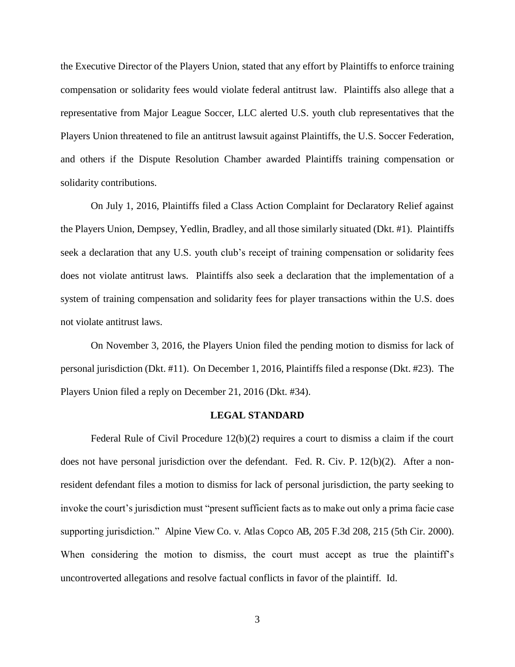the Executive Director of the Players Union, stated that any effort by Plaintiffs to enforce training compensation or solidarity fees would violate federal antitrust law. Plaintiffs also allege that a representative from Major League Soccer, LLC alerted U.S. youth club representatives that the Players Union threatened to file an antitrust lawsuit against Plaintiffs, the U.S. Soccer Federation, and others if the Dispute Resolution Chamber awarded Plaintiffs training compensation or solidarity contributions.

On July 1, 2016, Plaintiffs filed a Class Action Complaint for Declaratory Relief against the Players Union, Dempsey, Yedlin, Bradley, and all those similarly situated (Dkt. #1). Plaintiffs seek a declaration that any U.S. youth club's receipt of training compensation or solidarity fees does not violate antitrust laws. Plaintiffs also seek a declaration that the implementation of a system of training compensation and solidarity fees for player transactions within the U.S. does not violate antitrust laws.

On November 3, 2016, the Players Union filed the pending motion to dismiss for lack of personal jurisdiction (Dkt. #11). On December 1, 2016, Plaintiffs filed a response (Dkt. #23). The Players Union filed a reply on December 21, 2016 (Dkt. #34).

#### **LEGAL STANDARD**

Federal Rule of Civil Procedure  $12(b)(2)$  requires a court to dismiss a claim if the court does not have personal jurisdiction over the defendant. Fed. R. Civ. P. 12(b)(2). After a nonresident defendant files a motion to dismiss for lack of personal jurisdiction, the party seeking to invoke the court's jurisdiction must "present sufficient facts as to make out only a prima facie case supporting jurisdiction." Alpine View Co. v. Atlas Copco AB, 205 F.3d 208, 215 (5th Cir. 2000). When considering the motion to dismiss, the court must accept as true the plaintiff's uncontroverted allegations and resolve factual conflicts in favor of the plaintiff. Id.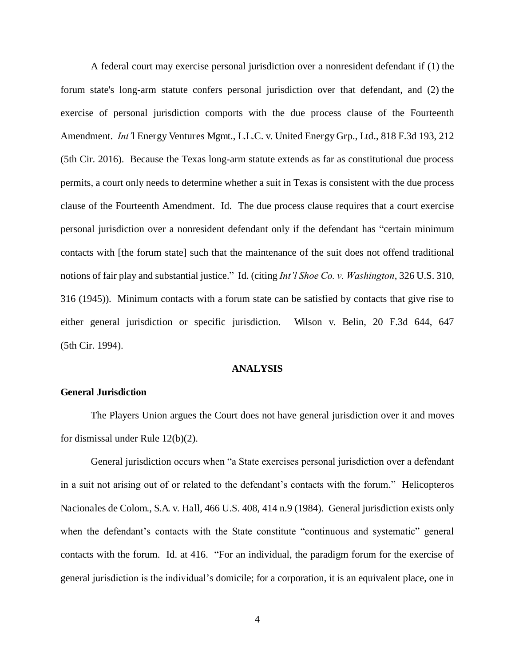A federal court may exercise personal jurisdiction over a nonresident defendant if (1) the forum state's long-arm statute confers personal jurisdiction over that defendant, and (2) the exercise of personal jurisdiction comports with the due process clause of the Fourteenth Amendment. *Int'*l Energy Ventures Mgmt., L.L.C. v. United Energy Grp., Ltd., 818 F.3d 193, 212 (5th Cir. 2016). Because the Texas long-arm statute extends as far as constitutional due process permits, a court only needs to determine whether a suit in Texas is consistent with the due process clause of the Fourteenth Amendment. Id. The due process clause requires that a court exercise personal jurisdiction over a nonresident defendant only if the defendant has "certain minimum contacts with [the forum state] such that the maintenance of the suit does not offend traditional notions of fair play and substantial justice." Id. (citing *Int'l Shoe Co. v. Washington*, 326 U.S. 310, 316 (1945)). Minimum contacts with a forum state can be satisfied by contacts that give rise to either general jurisdiction or specific jurisdiction. Wilson v. Belin, 20 F.3d 644, 647 (5th Cir. 1994).

#### **ANALYSIS**

#### **General Jurisdiction**

 The Players Union argues the Court does not have general jurisdiction over it and moves for dismissal under Rule 12(b)(2).

General jurisdiction occurs when "a State exercises personal jurisdiction over a defendant in a suit not arising out of or related to the defendant's contacts with the forum." Helicopteros Nacionales de Colom., S.A. v. Hall, 466 U.S. 408, 414 n.9 (1984). General jurisdiction exists only when the defendant's contacts with the State constitute "continuous and systematic" general contacts with the forum. Id. at 416. "For an individual, the paradigm forum for the exercise of general jurisdiction is the individual's domicile; for a corporation, it is an equivalent place, one in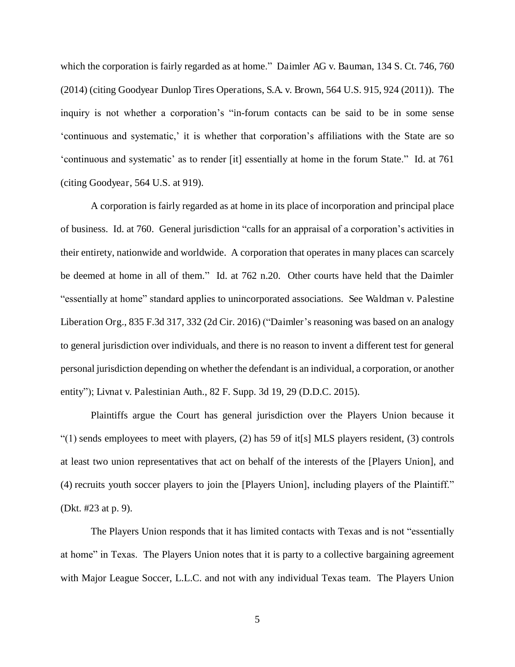which the corporation is fairly regarded as at home." Daimler AG v. Bauman, 134 S. Ct. 746, 760 (2014) (citing Goodyear Dunlop Tires Operations, S.A. v. Brown, 564 U.S. 915, 924 (2011)). The inquiry is not whether a corporation's "in-forum contacts can be said to be in some sense 'continuous and systematic,' it is whether that corporation's affiliations with the State are so 'continuous and systematic' as to render [it] essentially at home in the forum State." Id. at 761 (citing Goodyear, 564 U.S. at 919).

A corporation is fairly regarded as at home in its place of incorporation and principal place of business. Id. at 760. General jurisdiction "calls for an appraisal of a corporation's activities in their entirety, nationwide and worldwide. A corporation that operates in many places can scarcely be deemed at home in all of them." Id. at 762 n.20. Other courts have held that the Daimler "essentially at home" standard applies to unincorporated associations. See Waldman v. Palestine Liberation Org., 835 F.3d 317, 332 (2d Cir. 2016) ("Daimler's reasoning was based on an analogy to general jurisdiction over individuals, and there is no reason to invent a different test for general personal jurisdiction depending on whether the defendant is an individual, a corporation, or another entity"); Livnat v. Palestinian Auth., 82 F. Supp. 3d 19, 29 (D.D.C. 2015).

Plaintiffs argue the Court has general jurisdiction over the Players Union because it " $(1)$  sends employees to meet with players,  $(2)$  has 59 of it[s] MLS players resident,  $(3)$  controls at least two union representatives that act on behalf of the interests of the [Players Union], and (4) recruits youth soccer players to join the [Players Union], including players of the Plaintiff." (Dkt. #23 at p. 9).

The Players Union responds that it has limited contacts with Texas and is not "essentially at home" in Texas. The Players Union notes that it is party to a collective bargaining agreement with Major League Soccer, L.L.C. and not with any individual Texas team. The Players Union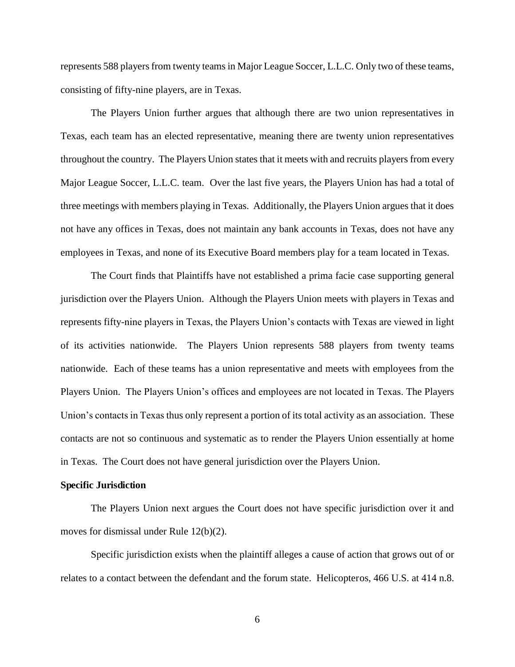represents 588 players from twenty teams in Major League Soccer, L.L.C. Only two of these teams, consisting of fifty-nine players, are in Texas.

The Players Union further argues that although there are two union representatives in Texas, each team has an elected representative, meaning there are twenty union representatives throughout the country. The Players Union states that it meets with and recruits players from every Major League Soccer, L.L.C. team. Over the last five years, the Players Union has had a total of three meetings with members playing in Texas. Additionally, the Players Union argues that it does not have any offices in Texas, does not maintain any bank accounts in Texas, does not have any employees in Texas, and none of its Executive Board members play for a team located in Texas.

The Court finds that Plaintiffs have not established a prima facie case supporting general jurisdiction over the Players Union. Although the Players Union meets with players in Texas and represents fifty-nine players in Texas, the Players Union's contacts with Texas are viewed in light of its activities nationwide. The Players Union represents 588 players from twenty teams nationwide. Each of these teams has a union representative and meets with employees from the Players Union. The Players Union's offices and employees are not located in Texas. The Players Union's contacts in Texas thus only represent a portion of its total activity as an association. These contacts are not so continuous and systematic as to render the Players Union essentially at home in Texas. The Court does not have general jurisdiction over the Players Union.

# **Specific Jurisdiction**

The Players Union next argues the Court does not have specific jurisdiction over it and moves for dismissal under Rule 12(b)(2).

Specific jurisdiction exists when the plaintiff alleges a cause of action that grows out of or relates to a contact between the defendant and the forum state. Helicopteros, 466 U.S. at 414 n.8.

6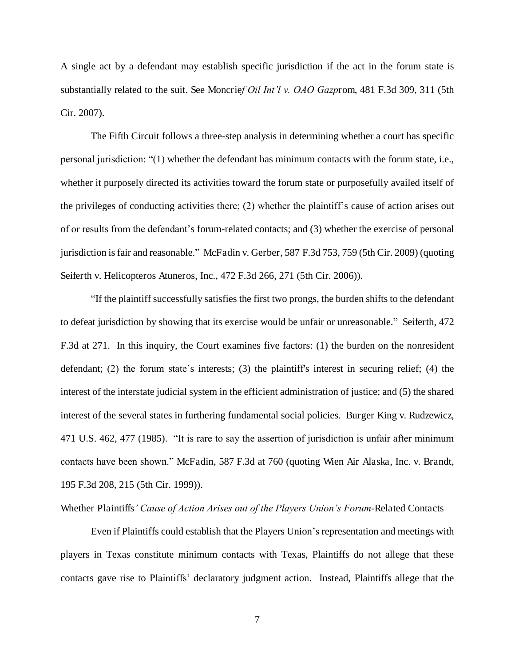A single act by a defendant may establish specific jurisdiction if the act in the forum state is substantially related to the suit. See Moncrie*f Oil Int'l v. OAO Gazp*rom, 481 F.3d 309, 311 (5th Cir. 2007).

The Fifth Circuit follows a three-step analysis in determining whether a court has specific personal jurisdiction: "(1) whether the defendant has minimum contacts with the forum state, i.e., whether it purposely directed its activities toward the forum state or purposefully availed itself of the privileges of conducting activities there; (2) whether the plaintiff's cause of action arises out of or results from the defendant's forum-related contacts; and (3) whether the exercise of personal jurisdiction is fair and reasonable." McFadin v. Gerber, 587 F.3d 753, 759 (5th Cir. 2009) (quoting Seiferth v. Helicopteros Atuneros, Inc., 472 F.3d 266, 271 (5th Cir. 2006)).

"If the plaintiff successfully satisfies the first two prongs, the burden shifts to the defendant to defeat jurisdiction by showing that its exercise would be unfair or unreasonable." Seiferth, 472 F.3d at 271. In this inquiry, the Court examines five factors: (1) the burden on the nonresident defendant; (2) the forum state's interests; (3) the plaintiff's interest in securing relief; (4) the interest of the interstate judicial system in the efficient administration of justice; and (5) the shared interest of the several states in furthering fundamental social policies. Burger King v. Rudzewicz, 471 U.S. 462, 477 (1985). "It is rare to say the assertion of jurisdiction is unfair after minimum contacts have been shown." McFadin, 587 F.3d at 760 (quoting Wien Air Alaska, Inc. v. Brandt, 195 F.3d 208, 215 (5th Cir. 1999)).

Whether Plaintiffs*' Cause of Action Arises out of the Players Union's Forum*-Related Contacts

Even if Plaintiffs could establish that the Players Union's representation and meetings with players in Texas constitute minimum contacts with Texas, Plaintiffs do not allege that these contacts gave rise to Plaintiffs' declaratory judgment action. Instead, Plaintiffs allege that the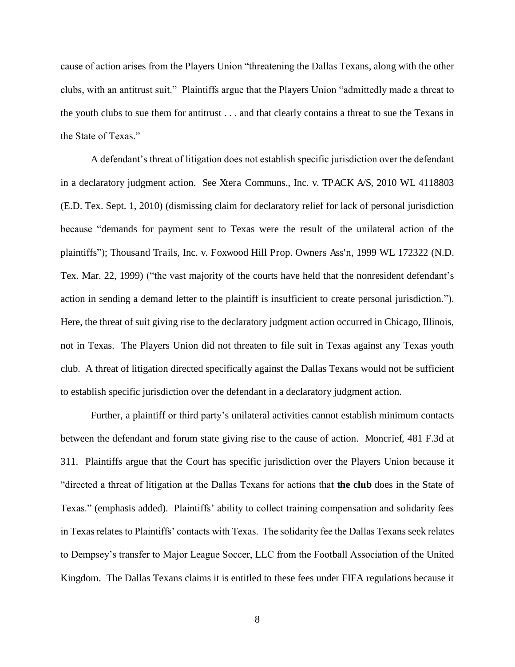cause of action arises from the Players Union "threatening the Dallas Texans, along with the other clubs, with an antitrust suit." Plaintiffs argue that the Players Union "admittedly made a threat to the youth clubs to sue them for antitrust . . . and that clearly contains a threat to sue the Texans in the State of Texas."

A defendant's threat of litigation does not establish specific jurisdiction over the defendant in a declaratory judgment action. See Xtera Communs., Inc. v. TPACK A/S, 2010 WL 4118803 (E.D. Tex. Sept. 1, 2010) (dismissing claim for declaratory relief for lack of personal jurisdiction because "demands for payment sent to Texas were the result of the unilateral action of the plaintiffs"); Thousand Trails, Inc. v. Foxwood Hill Prop. Owners Ass'n, 1999 WL 172322 (N.D. Tex. Mar. 22, 1999) ("the vast majority of the courts have held that the nonresident defendant's action in sending a demand letter to the plaintiff is insufficient to create personal jurisdiction."). Here, the threat of suit giving rise to the declaratory judgment action occurred in Chicago, Illinois, not in Texas. The Players Union did not threaten to file suit in Texas against any Texas youth club. A threat of litigation directed specifically against the Dallas Texans would not be sufficient to establish specific jurisdiction over the defendant in a declaratory judgment action.

Further, a plaintiff or third party's unilateral activities cannot establish minimum contacts between the defendant and forum state giving rise to the cause of action. Moncrief, 481 F.3d at 311. Plaintiffs argue that the Court has specific jurisdiction over the Players Union because it "directed a threat of litigation at the Dallas Texans for actions that **the club** does in the State of Texas." (emphasis added). Plaintiffs' ability to collect training compensation and solidarity fees in Texas relates to Plaintiffs' contacts with Texas. The solidarity fee the Dallas Texans seek relates to Dempsey's transfer to Major League Soccer, LLC from the Football Association of the United Kingdom. The Dallas Texans claims it is entitled to these fees under FIFA regulations because it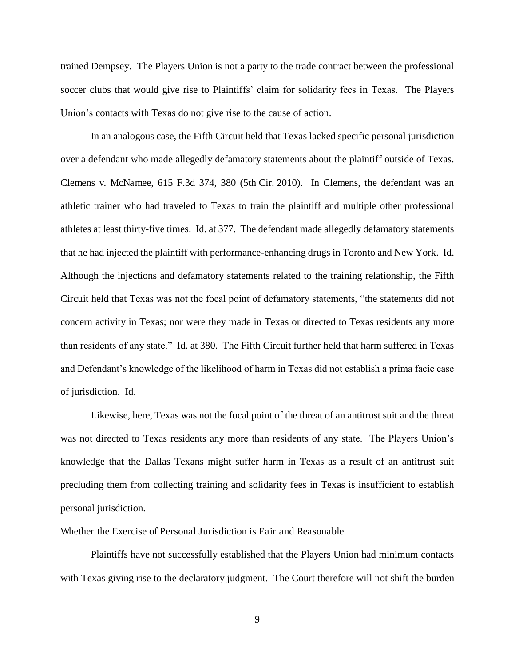trained Dempsey. The Players Union is not a party to the trade contract between the professional soccer clubs that would give rise to Plaintiffs' claim for solidarity fees in Texas. The Players Union's contacts with Texas do not give rise to the cause of action.

In an analogous case, the Fifth Circuit held that Texas lacked specific personal jurisdiction over a defendant who made allegedly defamatory statements about the plaintiff outside of Texas. Clemens v. McNamee, 615 F.3d 374, 380 (5th Cir. 2010). In Clemens, the defendant was an athletic trainer who had traveled to Texas to train the plaintiff and multiple other professional athletes at least thirty-five times. Id. at 377. The defendant made allegedly defamatory statements that he had injected the plaintiff with performance-enhancing drugs in Toronto and New York. Id. Although the injections and defamatory statements related to the training relationship, the Fifth Circuit held that Texas was not the focal point of defamatory statements, "the statements did not concern activity in Texas; nor were they made in Texas or directed to Texas residents any more than residents of any state." Id. at 380. The Fifth Circuit further held that harm suffered in Texas and Defendant's knowledge of the likelihood of harm in Texas did not establish a prima facie case of jurisdiction. Id.

Likewise, here, Texas was not the focal point of the threat of an antitrust suit and the threat was not directed to Texas residents any more than residents of any state. The Players Union's knowledge that the Dallas Texans might suffer harm in Texas as a result of an antitrust suit precluding them from collecting training and solidarity fees in Texas is insufficient to establish personal jurisdiction.

Whether the Exercise of Personal Jurisdiction is Fair and Reasonable

Plaintiffs have not successfully established that the Players Union had minimum contacts with Texas giving rise to the declaratory judgment. The Court therefore will not shift the burden